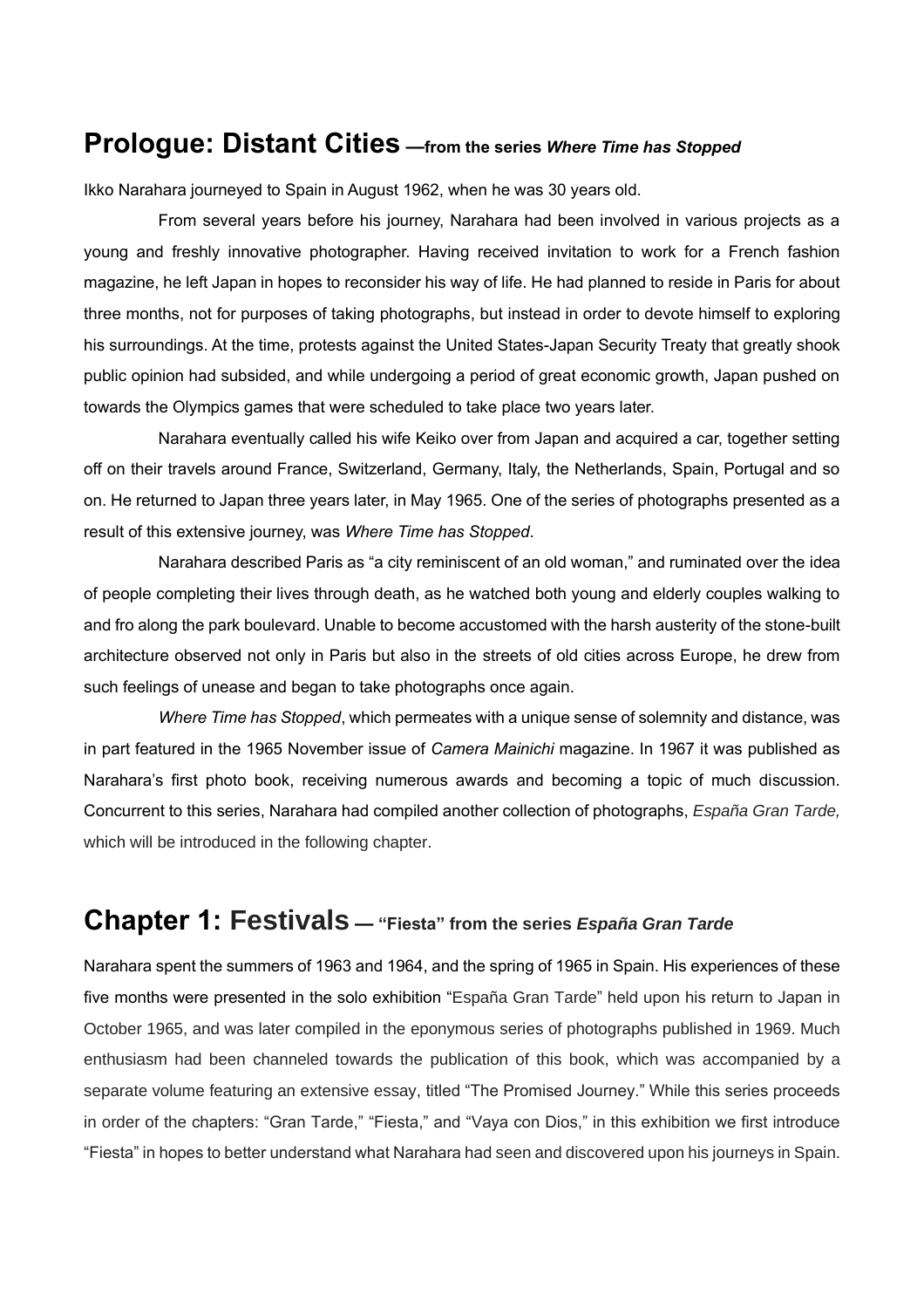### **Prologue: Distant Cities —from the series** *Where Time has Stopped*

Ikko Narahara journeyed to Spain in August 1962, when he was 30 years old.

From several years before his journey, Narahara had been involved in various projects as a young and freshly innovative photographer. Having received invitation to work for a French fashion magazine, he left Japan in hopes to reconsider his way of life. He had planned to reside in Paris for about three months, not for purposes of taking photographs, but instead in order to devote himself to exploring his surroundings. At the time, protests against the United States-Japan Security Treaty that greatly shook public opinion had subsided, and while undergoing a period of great economic growth, Japan pushed on towards the Olympics games that were scheduled to take place two years later.

Narahara eventually called his wife Keiko over from Japan and acquired a car, together setting off on their travels around France, Switzerland, Germany, Italy, the Netherlands, Spain, Portugal and so on. He returned to Japan three years later, in May 1965. One of the series of photographs presented as a result of this extensive journey, was *Where Time has Stopped*.

Narahara described Paris as "a city reminiscent of an old woman," and ruminated over the idea of people completing their lives through death, as he watched both young and elderly couples walking to and fro along the park boulevard. Unable to become accustomed with the harsh austerity of the stone-built architecture observed not only in Paris but also in the streets of old cities across Europe, he drew from such feelings of unease and began to take photographs once again.

*Where Time has Stopped*, which permeates with a unique sense of solemnity and distance, was in part featured in the 1965 November issue of *Camera Mainichi* magazine. In 1967 it was published as Narahara's first photo book, receiving numerous awards and becoming a topic of much discussion. Concurrent to this series, Narahara had compiled another collection of photographs, *España Gran Tarde,*  which will be introduced in the following chapter.

# **Chapter 1: Festivals — "Fiesta" from the series** *España Gran Tarde*

Narahara spent the summers of 1963 and 1964, and the spring of 1965 in Spain. His experiences of these five months were presented in the solo exhibition "España Gran Tarde" held upon his return to Japan in October 1965, and was later compiled in the eponymous series of photographs published in 1969. Much enthusiasm had been channeled towards the publication of this book, which was accompanied by a separate volume featuring an extensive essay, titled "The Promised Journey." While this series proceeds in order of the chapters: "Gran Tarde," "Fiesta," and "Vaya con Dios," in this exhibition we first introduce "Fiesta" in hopes to better understand what Narahara had seen and discovered upon his journeys in Spain.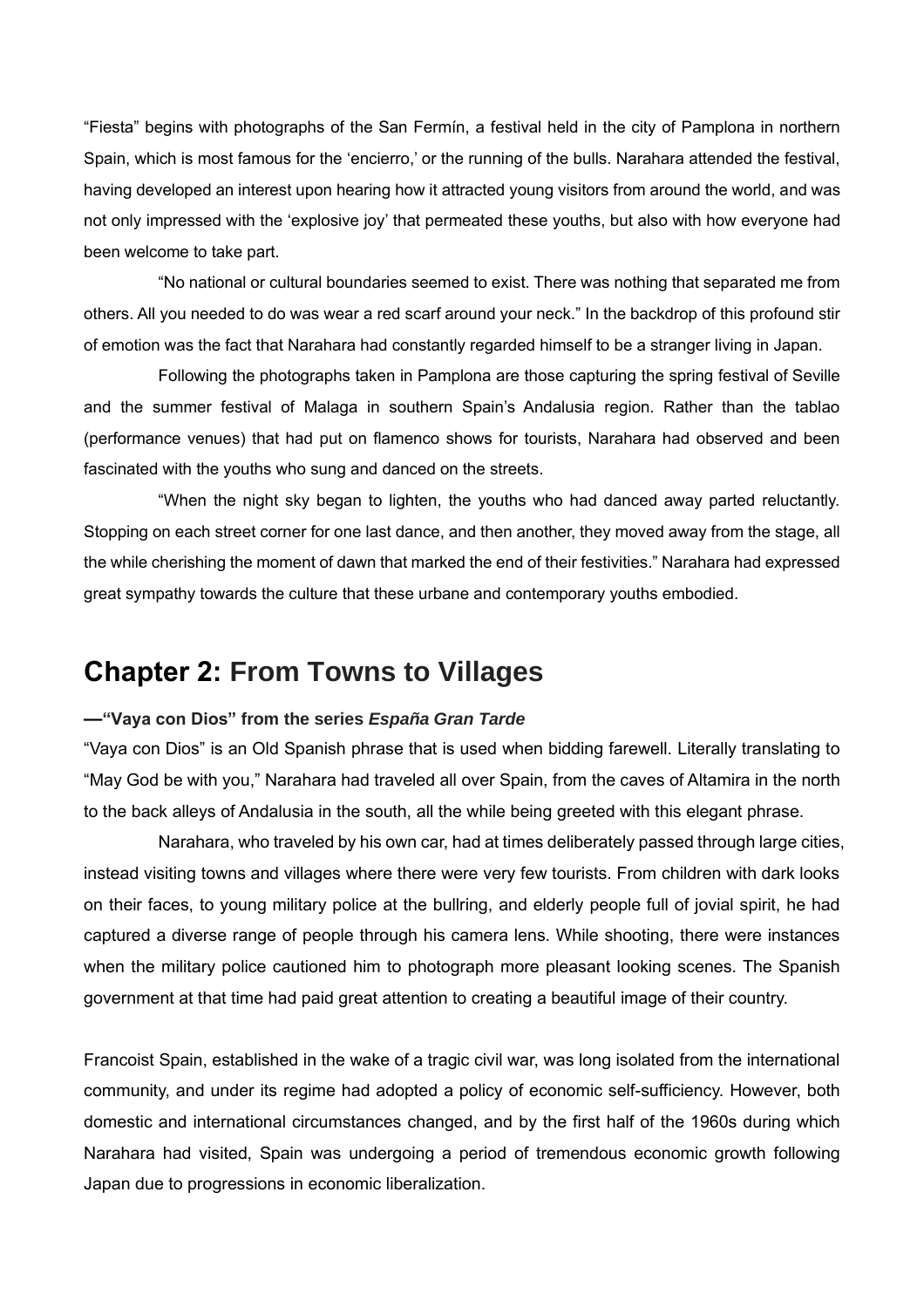"Fiesta" begins with photographs of the San Fermín, a festival held in the city of Pamplona in northern Spain, which is most famous for the 'encierro,' or the running of the bulls. Narahara attended the festival, having developed an interest upon hearing how it attracted young visitors from around the world, and was not only impressed with the 'explosive joy' that permeated these youths, but also with how everyone had been welcome to take part.

"No national or cultural boundaries seemed to exist. There was nothing that separated me from others. All you needed to do was wear a red scarf around your neck." In the backdrop of this profound stir of emotion was the fact that Narahara had constantly regarded himself to be a stranger living in Japan.

Following the photographs taken in Pamplona are those capturing the spring festival of Seville and the summer festival of Malaga in southern Spain's Andalusia region. Rather than the tablao (performance venues) that had put on flamenco shows for tourists, Narahara had observed and been fascinated with the youths who sung and danced on the streets.

"When the night sky began to lighten, the youths who had danced away parted reluctantly. Stopping on each street corner for one last dance, and then another, they moved away from the stage, all the while cherishing the moment of dawn that marked the end of their festivities." Narahara had expressed great sympathy towards the culture that these urbane and contemporary youths embodied.

### **Chapter 2: From Towns to Villages**

### **—"Vaya con Dios" from the series** *España Gran Tarde*

"Vaya con Dios" is an Old Spanish phrase that is used when bidding farewell. Literally translating to "May God be with you," Narahara had traveled all over Spain, from the caves of Altamira in the north to the back alleys of Andalusia in the south, all the while being greeted with this elegant phrase.

Narahara, who traveled by his own car, had at times deliberately passed through large cities, instead visiting towns and villages where there were very few tourists. From children with dark looks on their faces, to young military police at the bullring, and elderly people full of jovial spirit, he had captured a diverse range of people through his camera lens. While shooting, there were instances when the military police cautioned him to photograph more pleasant looking scenes. The Spanish government at that time had paid great attention to creating a beautiful image of their country.

Francoist Spain, established in the wake of a tragic civil war, was long isolated from the international community, and under its regime had adopted a policy of economic self-sufficiency. However, both domestic and international circumstances changed, and by the first half of the 1960s during which Narahara had visited, Spain was undergoing a period of tremendous economic growth following Japan due to progressions in economic liberalization.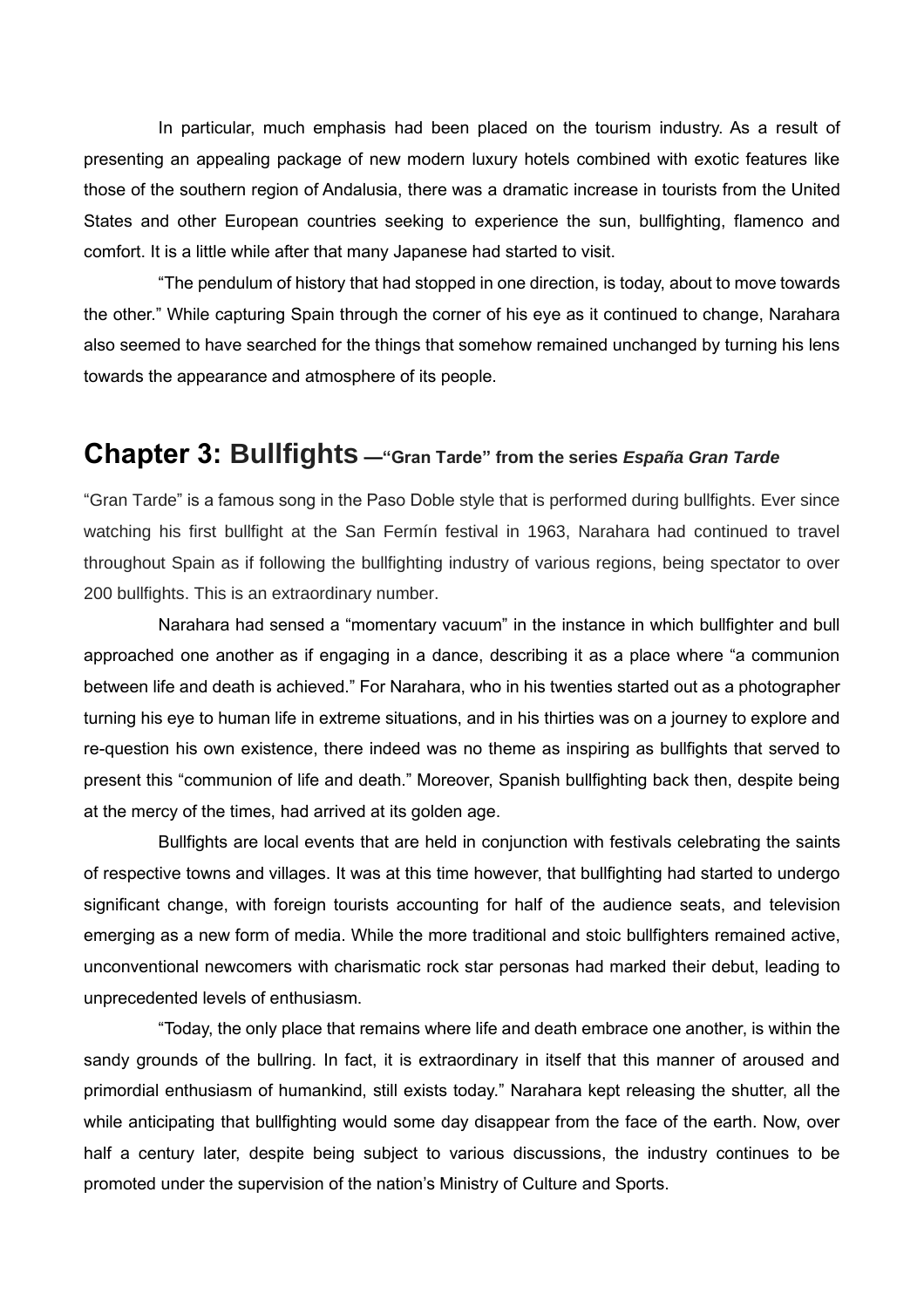In particular, much emphasis had been placed on the tourism industry. As a result of presenting an appealing package of new modern luxury hotels combined with exotic features like those of the southern region of Andalusia, there was a dramatic increase in tourists from the United States and other European countries seeking to experience the sun, bullfighting, flamenco and comfort. It is a little while after that many Japanese had started to visit.

"The pendulum of history that had stopped in one direction, is today, about to move towards the other." While capturing Spain through the corner of his eye as it continued to change, Narahara also seemed to have searched for the things that somehow remained unchanged by turning his lens towards the appearance and atmosphere of its people.

### **Chapter 3: Bullfights —"Gran Tarde" from the series** *España Gran Tarde*

"Gran Tarde" is a famous song in the Paso Doble style that is performed during bullfights. Ever since watching his first bullfight at the San Fermín festival in 1963, Narahara had continued to travel throughout Spain as if following the bullfighting industry of various regions, being spectator to over 200 bullfights. This is an extraordinary number.

Narahara had sensed a "momentary vacuum" in the instance in which bullfighter and bull approached one another as if engaging in a dance, describing it as a place where "a communion between life and death is achieved." For Narahara, who in his twenties started out as a photographer turning his eye to human life in extreme situations, and in his thirties was on a journey to explore and re-question his own existence, there indeed was no theme as inspiring as bullfights that served to present this "communion of life and death." Moreover, Spanish bullfighting back then, despite being at the mercy of the times, had arrived at its golden age.

Bullfights are local events that are held in conjunction with festivals celebrating the saints of respective towns and villages. It was at this time however, that bullfighting had started to undergo significant change, with foreign tourists accounting for half of the audience seats, and television emerging as a new form of media. While the more traditional and stoic bullfighters remained active, unconventional newcomers with charismatic rock star personas had marked their debut, leading to unprecedented levels of enthusiasm.

"Today, the only place that remains where life and death embrace one another, is within the sandy grounds of the bullring. In fact, it is extraordinary in itself that this manner of aroused and primordial enthusiasm of humankind, still exists today." Narahara kept releasing the shutter, all the while anticipating that bullfighting would some day disappear from the face of the earth. Now, over half a century later, despite being subject to various discussions, the industry continues to be promoted under the supervision of the nation's Ministry of Culture and Sports.